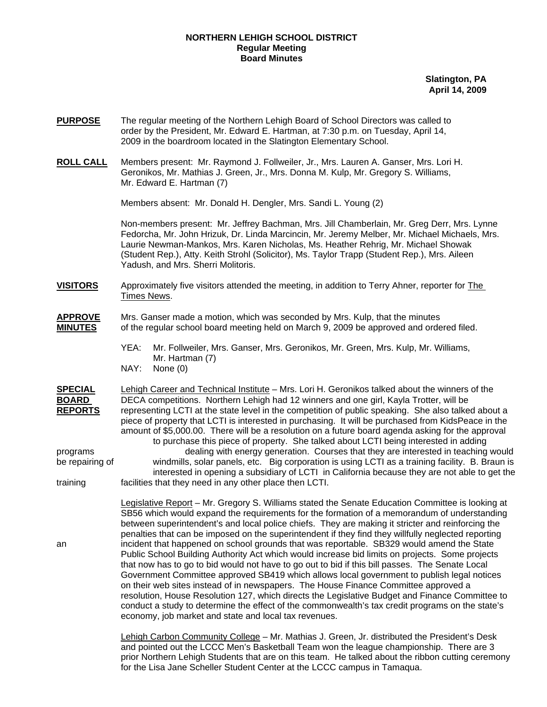## **NORTHERN LEHIGH SCHOOL DISTRICT Regular Meeting Board Minutes**

**Slatington, PA April 14, 2009**

- **PURPOSE** The regular meeting of the Northern Lehigh Board of School Directors was called to order by the President, Mr. Edward E. Hartman, at 7:30 p.m. on Tuesday, April 14, 2009 in the boardroom located in the Slatington Elementary School.
- **ROLL CALL** Members present: Mr. Raymond J. Follweiler, Jr., Mrs. Lauren A. Ganser, Mrs. Lori H. Geronikos, Mr. Mathias J. Green, Jr., Mrs. Donna M. Kulp, Mr. Gregory S. Williams, Mr. Edward E. Hartman (7)

Members absent: Mr. Donald H. Dengler, Mrs. Sandi L. Young (2)

Non-members present: Mr. Jeffrey Bachman, Mrs. Jill Chamberlain, Mr. Greg Derr, Mrs. Lynne Fedorcha, Mr. John Hrizuk, Dr. Linda Marcincin, Mr. Jeremy Melber, Mr. Michael Michaels, Mrs. Laurie Newman-Mankos, Mrs. Karen Nicholas, Ms. Heather Rehrig, Mr. Michael Showak (Student Rep.), Atty. Keith Strohl (Solicitor), Ms. Taylor Trapp (Student Rep.), Mrs. Aileen Yadush, and Mrs. Sherri Molitoris.

## **VISITORS** Approximately five visitors attended the meeting, in addition to Terry Ahner, reporter for The Times News.

## **APPROVE** Mrs. Ganser made a motion, which was seconded by Mrs. Kulp, that the minutes **MINUTES** of the regular school board meeting held on March 9, 2009 be approved and ordered filed.

 YEA: Mr. Follweiler, Mrs. Ganser, Mrs. Geronikos, Mr. Green, Mrs. Kulp, Mr. Williams, Mr. Hartman (7)

NAY: None (0)

**SPECIAL** Lehigh Career and Technical Institute – Mrs. Lori H. Geronikos talked about the winners of the **BOARD** DECA competitions. Northern Lehigh had 12 winners and one girl, Kayla Trotter, will be **REPORTS** representing LCTI at the state level in the competition of public speaking. She also talked about a piece of property that LCTI is interested in purchasing. It will be purchased from KidsPeace in the amount of \$5,000.00. There will be a resolution on a future board agenda asking for the approval to purchase this piece of property. She talked about LCTI being interested in adding programs dealing with energy generation. Courses that they are interested in teaching would be repairing of windmills, solar panels, etc. Big corporation is using LCTI as a training facility. B. Braun is interested in opening a subsidiary of LCTI in California because they are not able to get the training facilities that they need in any other place then LCTI.

 Legislative Report – Mr. Gregory S. Williams stated the Senate Education Committee is looking at SB56 which would expand the requirements for the formation of a memorandum of understanding between superintendent's and local police chiefs. They are making it stricter and reinforcing the penalties that can be imposed on the superintendent if they find they willfully neglected reporting an incident that happened on school grounds that was reportable. SB329 would amend the State Public School Building Authority Act which would increase bid limits on projects. Some projects that now has to go to bid would not have to go out to bid if this bill passes. The Senate Local Government Committee approved SB419 which allows local government to publish legal notices on their web sites instead of in newspapers. The House Finance Committee approved a resolution, House Resolution 127, which directs the Legislative Budget and Finance Committee to conduct a study to determine the effect of the commonwealth's tax credit programs on the state's economy, job market and state and local tax revenues.

> Lehigh Carbon Community College – Mr. Mathias J. Green, Jr. distributed the President's Desk and pointed out the LCCC Men's Basketball Team won the league championship. There are 3 prior Northern Lehigh Students that are on this team. He talked about the ribbon cutting ceremony for the Lisa Jane Scheller Student Center at the LCCC campus in Tamaqua.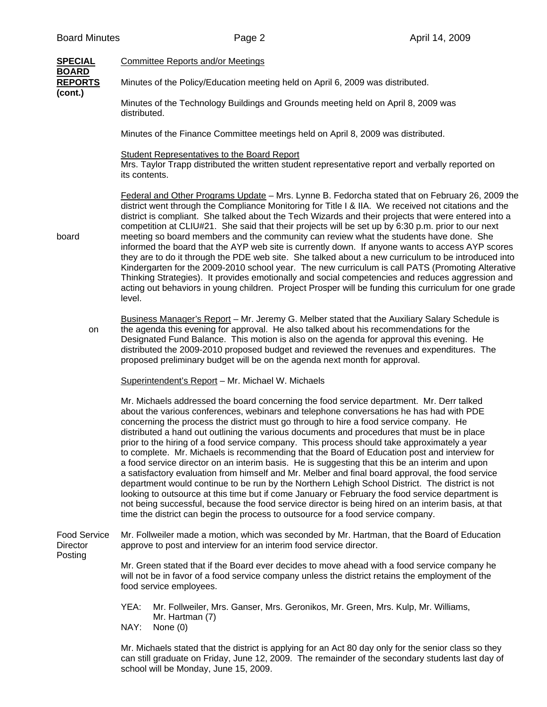| <b>SPECIAL</b>                                           | <b>Committee Reports and/or Meetings</b>                                                                                                                                                                                                                                                                                                                                                                                                                                                                                                                                                                                                                                                                                                                                                                                                                                                                                                                                                                                                                                                                                                                                             |  |  |
|----------------------------------------------------------|--------------------------------------------------------------------------------------------------------------------------------------------------------------------------------------------------------------------------------------------------------------------------------------------------------------------------------------------------------------------------------------------------------------------------------------------------------------------------------------------------------------------------------------------------------------------------------------------------------------------------------------------------------------------------------------------------------------------------------------------------------------------------------------------------------------------------------------------------------------------------------------------------------------------------------------------------------------------------------------------------------------------------------------------------------------------------------------------------------------------------------------------------------------------------------------|--|--|
| <b>BOARD</b><br><b>REPORTS</b><br>(cont.)<br>board<br>on | Minutes of the Policy/Education meeting held on April 6, 2009 was distributed.                                                                                                                                                                                                                                                                                                                                                                                                                                                                                                                                                                                                                                                                                                                                                                                                                                                                                                                                                                                                                                                                                                       |  |  |
|                                                          | Minutes of the Technology Buildings and Grounds meeting held on April 8, 2009 was<br>distributed.                                                                                                                                                                                                                                                                                                                                                                                                                                                                                                                                                                                                                                                                                                                                                                                                                                                                                                                                                                                                                                                                                    |  |  |
|                                                          | Minutes of the Finance Committee meetings held on April 8, 2009 was distributed.                                                                                                                                                                                                                                                                                                                                                                                                                                                                                                                                                                                                                                                                                                                                                                                                                                                                                                                                                                                                                                                                                                     |  |  |
|                                                          | <b>Student Representatives to the Board Report</b><br>Mrs. Taylor Trapp distributed the written student representative report and verbally reported on<br>its contents.                                                                                                                                                                                                                                                                                                                                                                                                                                                                                                                                                                                                                                                                                                                                                                                                                                                                                                                                                                                                              |  |  |
|                                                          | Federal and Other Programs Update - Mrs. Lynne B. Fedorcha stated that on February 26, 2009 the<br>district went through the Compliance Monitoring for Title I & IIA. We received not citations and the<br>district is compliant. She talked about the Tech Wizards and their projects that were entered into a<br>competition at CLIU#21. She said that their projects will be set up by 6:30 p.m. prior to our next<br>meeting so board members and the community can review what the students have done. She<br>informed the board that the AYP web site is currently down. If anyone wants to access AYP scores<br>they are to do it through the PDE web site. She talked about a new curriculum to be introduced into<br>Kindergarten for the 2009-2010 school year. The new curriculum is call PATS (Promoting Alterative<br>Thinking Strategies). It provides emotionally and social competencies and reduces aggression and<br>acting out behaviors in young children. Project Prosper will be funding this curriculum for one grade<br>level.                                                                                                                               |  |  |
|                                                          | Business Manager's Report - Mr. Jeremy G. Melber stated that the Auxiliary Salary Schedule is<br>the agenda this evening for approval. He also talked about his recommendations for the<br>Designated Fund Balance. This motion is also on the agenda for approval this evening. He<br>distributed the 2009-2010 proposed budget and reviewed the revenues and expenditures. The<br>proposed preliminary budget will be on the agenda next month for approval.                                                                                                                                                                                                                                                                                                                                                                                                                                                                                                                                                                                                                                                                                                                       |  |  |
|                                                          | Superintendent's Report - Mr. Michael W. Michaels                                                                                                                                                                                                                                                                                                                                                                                                                                                                                                                                                                                                                                                                                                                                                                                                                                                                                                                                                                                                                                                                                                                                    |  |  |
|                                                          | Mr. Michaels addressed the board concerning the food service department. Mr. Derr talked<br>about the various conferences, webinars and telephone conversations he has had with PDE<br>concerning the process the district must go through to hire a food service company. He<br>distributed a hand out outlining the various documents and procedures that must be in place<br>prior to the hiring of a food service company. This process should take approximately a year<br>to complete. Mr. Michaels is recommending that the Board of Education post and interview for<br>a food service director on an interim basis. He is suggesting that this be an interim and upon<br>a satisfactory evaluation from himself and Mr. Melber and final board approval, the food service<br>department would continue to be run by the Northern Lehigh School District. The district is not<br>looking to outsource at this time but if come January or February the food service department is<br>not being successful, because the food service director is being hired on an interim basis, at that<br>time the district can begin the process to outsource for a food service company. |  |  |
| <b>Food Service</b><br>Director<br>Posting               | Mr. Follweiler made a motion, which was seconded by Mr. Hartman, that the Board of Education<br>approve to post and interview for an interim food service director.                                                                                                                                                                                                                                                                                                                                                                                                                                                                                                                                                                                                                                                                                                                                                                                                                                                                                                                                                                                                                  |  |  |
|                                                          | Mr. Green stated that if the Board ever decides to move ahead with a food service company he<br>will not be in favor of a food service company unless the district retains the employment of the<br>food service employees.                                                                                                                                                                                                                                                                                                                                                                                                                                                                                                                                                                                                                                                                                                                                                                                                                                                                                                                                                          |  |  |
|                                                          | YEA:<br>Mr. Follweiler, Mrs. Ganser, Mrs. Geronikos, Mr. Green, Mrs. Kulp, Mr. Williams,<br>Mr. Hartman (7)<br>NAY:<br>None $(0)$                                                                                                                                                                                                                                                                                                                                                                                                                                                                                                                                                                                                                                                                                                                                                                                                                                                                                                                                                                                                                                                    |  |  |
|                                                          | Mr. Michaels stated that the district is applying for an Act 80 day only for the senior class so they<br>can still graduate on Friday, June 12, 2009. The remainder of the secondary students last day of                                                                                                                                                                                                                                                                                                                                                                                                                                                                                                                                                                                                                                                                                                                                                                                                                                                                                                                                                                            |  |  |

school will be Monday, June 15, 2009.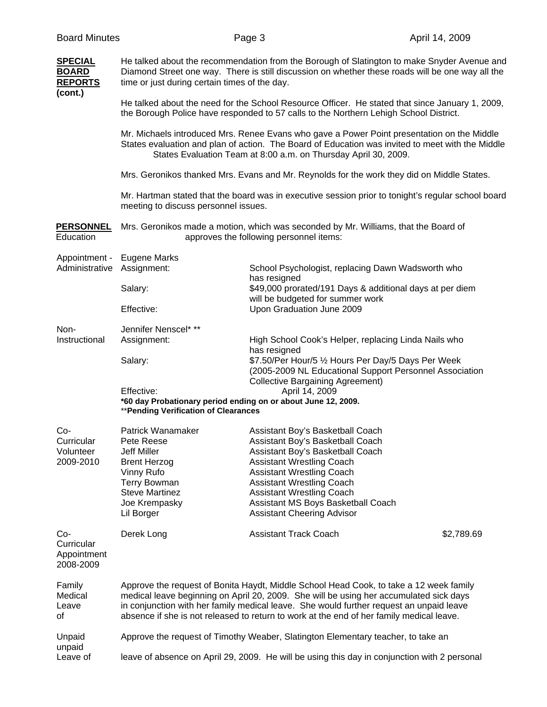| <b>SPECIAL</b><br><b>BOARD</b><br><b>REPORTS</b><br>(cont.) | He talked about the recommendation from the Borough of Slatington to make Snyder Avenue and<br>Diamond Street one way. There is still discussion on whether these roads will be one way all the<br>time or just during certain times of the day.                                                                                                                        |                                                                                                                                                                                                                                                                                                                                     |            |  |
|-------------------------------------------------------------|-------------------------------------------------------------------------------------------------------------------------------------------------------------------------------------------------------------------------------------------------------------------------------------------------------------------------------------------------------------------------|-------------------------------------------------------------------------------------------------------------------------------------------------------------------------------------------------------------------------------------------------------------------------------------------------------------------------------------|------------|--|
|                                                             | He talked about the need for the School Resource Officer. He stated that since January 1, 2009,<br>the Borough Police have responded to 57 calls to the Northern Lehigh School District.                                                                                                                                                                                |                                                                                                                                                                                                                                                                                                                                     |            |  |
|                                                             | Mr. Michaels introduced Mrs. Renee Evans who gave a Power Point presentation on the Middle<br>States evaluation and plan of action. The Board of Education was invited to meet with the Middle<br>States Evaluation Team at 8:00 a.m. on Thursday April 30, 2009.                                                                                                       |                                                                                                                                                                                                                                                                                                                                     |            |  |
|                                                             | Mrs. Geronikos thanked Mrs. Evans and Mr. Reynolds for the work they did on Middle States.                                                                                                                                                                                                                                                                              |                                                                                                                                                                                                                                                                                                                                     |            |  |
|                                                             | Mr. Hartman stated that the board was in executive session prior to tonight's regular school board<br>meeting to discuss personnel issues.                                                                                                                                                                                                                              |                                                                                                                                                                                                                                                                                                                                     |            |  |
| <b>PERSONNEL</b><br>Education                               | Mrs. Geronikos made a motion, which was seconded by Mr. Williams, that the Board of<br>approves the following personnel items:                                                                                                                                                                                                                                          |                                                                                                                                                                                                                                                                                                                                     |            |  |
| Appointment -<br>Administrative                             | Eugene Marks<br>Assignment:                                                                                                                                                                                                                                                                                                                                             | School Psychologist, replacing Dawn Wadsworth who                                                                                                                                                                                                                                                                                   |            |  |
|                                                             |                                                                                                                                                                                                                                                                                                                                                                         | has resigned                                                                                                                                                                                                                                                                                                                        |            |  |
|                                                             | Salary:                                                                                                                                                                                                                                                                                                                                                                 | \$49,000 prorated/191 Days & additional days at per diem<br>will be budgeted for summer work                                                                                                                                                                                                                                        |            |  |
|                                                             | Effective:                                                                                                                                                                                                                                                                                                                                                              | Upon Graduation June 2009                                                                                                                                                                                                                                                                                                           |            |  |
| Non-<br>Instructional                                       | Jennifer Nenscel* **<br>Assignment:                                                                                                                                                                                                                                                                                                                                     | High School Cook's Helper, replacing Linda Nails who<br>has resigned                                                                                                                                                                                                                                                                |            |  |
|                                                             | Salary:                                                                                                                                                                                                                                                                                                                                                                 | \$7.50/Per Hour/5 1/2 Hours Per Day/5 Days Per Week<br>(2005-2009 NL Educational Support Personnel Association<br><b>Collective Bargaining Agreement)</b>                                                                                                                                                                           |            |  |
|                                                             | Effective:<br>April 14, 2009<br>*60 day Probationary period ending on or about June 12, 2009.<br>** Pending Verification of Clearances                                                                                                                                                                                                                                  |                                                                                                                                                                                                                                                                                                                                     |            |  |
| $Co-$<br>Curricular<br>Volunteer<br>2009-2010               | Patrick Wanamaker<br>Pete Reese<br>Jeff Miller<br><b>Brent Herzog</b><br>Vinny Rufo<br><b>Terry Bowman</b><br><b>Steve Martinez</b><br>Joe Krempasky<br>Lil Borger                                                                                                                                                                                                      | Assistant Boy's Basketball Coach<br>Assistant Boy's Basketball Coach<br>Assistant Boy's Basketball Coach<br><b>Assistant Wrestling Coach</b><br><b>Assistant Wrestling Coach</b><br><b>Assistant Wrestling Coach</b><br><b>Assistant Wrestling Coach</b><br>Assistant MS Boys Basketball Coach<br><b>Assistant Cheering Advisor</b> |            |  |
| Co-<br>Curricular<br>Appointment<br>2008-2009               | Derek Long                                                                                                                                                                                                                                                                                                                                                              | <b>Assistant Track Coach</b>                                                                                                                                                                                                                                                                                                        | \$2,789.69 |  |
| Family<br>Medical<br>Leave<br>of                            | Approve the request of Bonita Haydt, Middle School Head Cook, to take a 12 week family<br>medical leave beginning on April 20, 2009. She will be using her accumulated sick days<br>in conjunction with her family medical leave. She would further request an unpaid leave<br>absence if she is not released to return to work at the end of her family medical leave. |                                                                                                                                                                                                                                                                                                                                     |            |  |
| Unpaid                                                      | Approve the request of Timothy Weaber, Slatington Elementary teacher, to take an                                                                                                                                                                                                                                                                                        |                                                                                                                                                                                                                                                                                                                                     |            |  |
| unpaid<br>Leave of                                          | leave of absence on April 29, 2009. He will be using this day in conjunction with 2 personal                                                                                                                                                                                                                                                                            |                                                                                                                                                                                                                                                                                                                                     |            |  |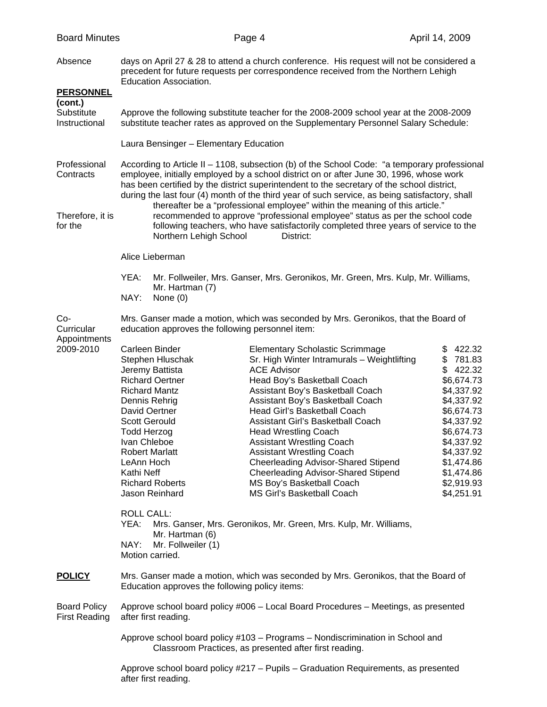| <b>Board Minutes</b>                                     |                                                                                                                                                                                                                                                                                                                                                                                                                                                                                                                                                                                                                                                                                       | Page 4                                                                                                                                                                                                                                                                                                                                                                                                                                                                                                                                                                                                                           | April 14, 2009                                                                                                                                                                                           |  |  |
|----------------------------------------------------------|---------------------------------------------------------------------------------------------------------------------------------------------------------------------------------------------------------------------------------------------------------------------------------------------------------------------------------------------------------------------------------------------------------------------------------------------------------------------------------------------------------------------------------------------------------------------------------------------------------------------------------------------------------------------------------------|----------------------------------------------------------------------------------------------------------------------------------------------------------------------------------------------------------------------------------------------------------------------------------------------------------------------------------------------------------------------------------------------------------------------------------------------------------------------------------------------------------------------------------------------------------------------------------------------------------------------------------|----------------------------------------------------------------------------------------------------------------------------------------------------------------------------------------------------------|--|--|
| Absence<br><b>PERSONNEL</b>                              | days on April 27 & 28 to attend a church conference. His request will not be considered a<br>precedent for future requests per correspondence received from the Northern Lehigh<br><b>Education Association.</b>                                                                                                                                                                                                                                                                                                                                                                                                                                                                      |                                                                                                                                                                                                                                                                                                                                                                                                                                                                                                                                                                                                                                  |                                                                                                                                                                                                          |  |  |
| (cont.)<br>Substitute<br>Instructional                   | Approve the following substitute teacher for the 2008-2009 school year at the 2008-2009<br>substitute teacher rates as approved on the Supplementary Personnel Salary Schedule:                                                                                                                                                                                                                                                                                                                                                                                                                                                                                                       |                                                                                                                                                                                                                                                                                                                                                                                                                                                                                                                                                                                                                                  |                                                                                                                                                                                                          |  |  |
|                                                          | Laura Bensinger - Elementary Education                                                                                                                                                                                                                                                                                                                                                                                                                                                                                                                                                                                                                                                |                                                                                                                                                                                                                                                                                                                                                                                                                                                                                                                                                                                                                                  |                                                                                                                                                                                                          |  |  |
| Professional<br>Contracts<br>Therefore, it is<br>for the | According to Article II - 1108, subsection (b) of the School Code: "a temporary professional<br>employee, initially employed by a school district on or after June 30, 1996, whose work<br>has been certified by the district superintendent to the secretary of the school district,<br>during the last four (4) month of the third year of such service, as being satisfactory, shall<br>thereafter be a "professional employee" within the meaning of this article."<br>recommended to approve "professional employee" status as per the school code<br>following teachers, who have satisfactorily completed three years of service to the<br>Northern Lehigh School<br>District: |                                                                                                                                                                                                                                                                                                                                                                                                                                                                                                                                                                                                                                  |                                                                                                                                                                                                          |  |  |
|                                                          | Alice Lieberman                                                                                                                                                                                                                                                                                                                                                                                                                                                                                                                                                                                                                                                                       |                                                                                                                                                                                                                                                                                                                                                                                                                                                                                                                                                                                                                                  |                                                                                                                                                                                                          |  |  |
|                                                          | YEA:<br>Mr. Follweiler, Mrs. Ganser, Mrs. Geronikos, Mr. Green, Mrs. Kulp, Mr. Williams,<br>Mr. Hartman (7)<br>NAY:<br>None $(0)$                                                                                                                                                                                                                                                                                                                                                                                                                                                                                                                                                     |                                                                                                                                                                                                                                                                                                                                                                                                                                                                                                                                                                                                                                  |                                                                                                                                                                                                          |  |  |
| $Co-$<br>Curricular                                      | Mrs. Ganser made a motion, which was seconded by Mrs. Geronikos, that the Board of<br>education approves the following personnel item:                                                                                                                                                                                                                                                                                                                                                                                                                                                                                                                                                |                                                                                                                                                                                                                                                                                                                                                                                                                                                                                                                                                                                                                                  |                                                                                                                                                                                                          |  |  |
| Appointments<br>2009-2010                                | Carleen Binder<br>Stephen Hluschak<br>Jeremy Battista<br><b>Richard Oertner</b><br><b>Richard Mantz</b><br>Dennis Rehrig<br>David Oertner<br><b>Scott Gerould</b><br><b>Todd Herzog</b><br>Ivan Chleboe<br><b>Robert Marlatt</b><br>LeAnn Hoch<br>Kathi Neff<br><b>Richard Roberts</b><br>Jason Reinhard<br><b>ROLL CALL:</b><br>YEA:<br>Mr. Hartman (6)<br>NAY:<br>Mr. Follweiler (1)<br>Motion carried.                                                                                                                                                                                                                                                                             | <b>Elementary Scholastic Scrimmage</b><br>Sr. High Winter Intramurals - Weightlifting<br><b>ACE Advisor</b><br>Head Boy's Basketball Coach<br>Assistant Boy's Basketball Coach<br>Assistant Boy's Basketball Coach<br>Head Girl's Basketball Coach<br>Assistant Girl's Basketball Coach<br><b>Head Wrestling Coach</b><br><b>Assistant Wrestling Coach</b><br><b>Assistant Wrestling Coach</b><br><b>Cheerleading Advisor-Shared Stipend</b><br><b>Cheerleading Advisor-Shared Stipend</b><br>MS Boy's Basketball Coach<br><b>MS Girl's Basketball Coach</b><br>Mrs. Ganser, Mrs. Geronikos, Mr. Green, Mrs. Kulp, Mr. Williams, | \$422.32<br>\$781.83<br>\$422.32<br>\$6,674.73<br>\$4,337.92<br>\$4,337.92<br>\$6,674.73<br>\$4,337.92<br>\$6,674.73<br>\$4,337.92<br>\$4,337.92<br>\$1,474.86<br>\$1,474.86<br>\$2,919.93<br>\$4,251.91 |  |  |
| <b>POLICY</b>                                            | Mrs. Ganser made a motion, which was seconded by Mrs. Geronikos, that the Board of<br>Education approves the following policy items:                                                                                                                                                                                                                                                                                                                                                                                                                                                                                                                                                  |                                                                                                                                                                                                                                                                                                                                                                                                                                                                                                                                                                                                                                  |                                                                                                                                                                                                          |  |  |
| <b>Board Policy</b><br><b>First Reading</b>              | Approve school board policy #006 - Local Board Procedures - Meetings, as presented<br>after first reading.                                                                                                                                                                                                                                                                                                                                                                                                                                                                                                                                                                            |                                                                                                                                                                                                                                                                                                                                                                                                                                                                                                                                                                                                                                  |                                                                                                                                                                                                          |  |  |
|                                                          | Approve school board policy #103 - Programs - Nondiscrimination in School and<br>Classroom Practices, as presented after first reading.                                                                                                                                                                                                                                                                                                                                                                                                                                                                                                                                               |                                                                                                                                                                                                                                                                                                                                                                                                                                                                                                                                                                                                                                  |                                                                                                                                                                                                          |  |  |
|                                                          | Approve school board policy #217 - Pupils - Graduation Requirements, as presented<br>after first reading.                                                                                                                                                                                                                                                                                                                                                                                                                                                                                                                                                                             |                                                                                                                                                                                                                                                                                                                                                                                                                                                                                                                                                                                                                                  |                                                                                                                                                                                                          |  |  |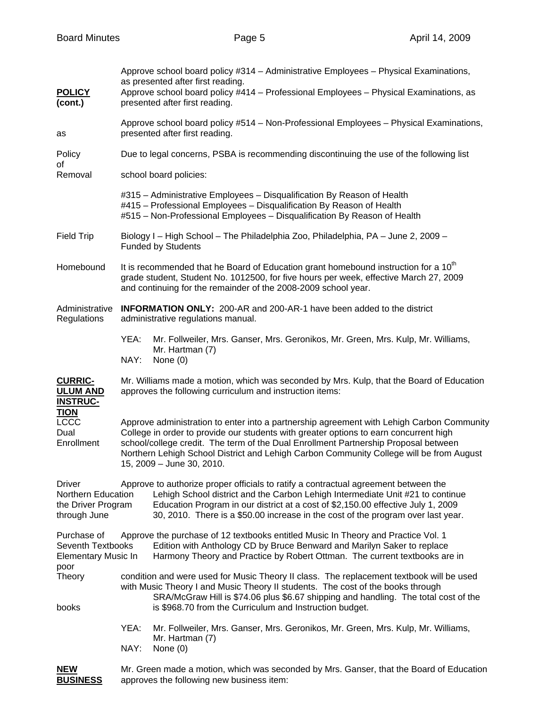| <b>POLICY</b><br>(cont.)                                                                  | Approve school board policy #314 – Administrative Employees – Physical Examinations,<br>as presented after first reading.<br>Approve school board policy #414 - Professional Employees - Physical Examinations, as<br>presented after first reading.                                                                                                                                              |  |  |  |
|-------------------------------------------------------------------------------------------|---------------------------------------------------------------------------------------------------------------------------------------------------------------------------------------------------------------------------------------------------------------------------------------------------------------------------------------------------------------------------------------------------|--|--|--|
| as                                                                                        | Approve school board policy #514 - Non-Professional Employees - Physical Examinations,<br>presented after first reading.                                                                                                                                                                                                                                                                          |  |  |  |
| Policy<br>οf                                                                              | Due to legal concerns, PSBA is recommending discontinuing the use of the following list                                                                                                                                                                                                                                                                                                           |  |  |  |
| Removal                                                                                   | school board policies:                                                                                                                                                                                                                                                                                                                                                                            |  |  |  |
|                                                                                           | #315 - Administrative Employees - Disqualification By Reason of Health<br>#415 - Professional Employees - Disqualification By Reason of Health<br>#515 - Non-Professional Employees - Disqualification By Reason of Health                                                                                                                                                                        |  |  |  |
| <b>Field Trip</b>                                                                         | Biology I – High School – The Philadelphia Zoo, Philadelphia, PA – June 2, 2009 –<br><b>Funded by Students</b>                                                                                                                                                                                                                                                                                    |  |  |  |
| Homebound                                                                                 | It is recommended that he Board of Education grant homebound instruction for a 10 <sup>th</sup><br>grade student, Student No. 1012500, for five hours per week, effective March 27, 2009<br>and continuing for the remainder of the 2008-2009 school year.                                                                                                                                        |  |  |  |
| Administrative<br>Regulations                                                             | <b>INFORMATION ONLY:</b> 200-AR and 200-AR-1 have been added to the district<br>administrative regulations manual.                                                                                                                                                                                                                                                                                |  |  |  |
|                                                                                           | YEA:<br>Mr. Follweiler, Mrs. Ganser, Mrs. Geronikos, Mr. Green, Mrs. Kulp, Mr. Williams,<br>Mr. Hartman (7)<br>NAY:<br>None $(0)$                                                                                                                                                                                                                                                                 |  |  |  |
| <b>CURRIC-</b><br><b>ULUM AND</b><br><b>INSTRUC-</b>                                      | Mr. Williams made a motion, which was seconded by Mrs. Kulp, that the Board of Education<br>approves the following curriculum and instruction items:                                                                                                                                                                                                                                              |  |  |  |
| <b>TION</b><br><b>LCCC</b><br>Dual<br>Enrollment                                          | Approve administration to enter into a partnership agreement with Lehigh Carbon Community<br>College in order to provide our students with greater options to earn concurrent high<br>school/college credit. The term of the Dual Enrollment Partnership Proposal between<br>Northern Lehigh School District and Lehigh Carbon Community College will be from August<br>15, 2009 - June 30, 2010. |  |  |  |
| <b>Driver</b><br>Northern Education<br>the Driver Program<br>through June                 | Approve to authorize proper officials to ratify a contractual agreement between the<br>Lehigh School district and the Carbon Lehigh Intermediate Unit #21 to continue<br>Education Program in our district at a cost of \$2,150.00 effective July 1, 2009<br>30, 2010. There is a \$50.00 increase in the cost of the program over last year.                                                     |  |  |  |
| Purchase of<br>Seventh Textbooks<br><b>Elementary Music In</b><br>poor<br>Theory<br>books | Approve the purchase of 12 textbooks entitled Music In Theory and Practice Vol. 1<br>Edition with Anthology CD by Bruce Benward and Marilyn Saker to replace<br>Harmony Theory and Practice by Robert Ottman. The current textbooks are in                                                                                                                                                        |  |  |  |
|                                                                                           | condition and were used for Music Theory II class. The replacement textbook will be used<br>with Music Theory I and Music Theory II students. The cost of the books through<br>SRA/McGraw Hill is \$74.06 plus \$6.67 shipping and handling. The total cost of the<br>is \$968.70 from the Curriculum and Instruction budget.                                                                     |  |  |  |
|                                                                                           | YEA:<br>Mr. Follweiler, Mrs. Ganser, Mrs. Geronikos, Mr. Green, Mrs. Kulp, Mr. Williams,<br>Mr. Hartman (7)<br>NAY:                                                                                                                                                                                                                                                                               |  |  |  |
| <b>NEW</b><br><b>BUSINESS</b>                                                             | None $(0)$<br>Mr. Green made a motion, which was seconded by Mrs. Ganser, that the Board of Education<br>approves the following new business item:                                                                                                                                                                                                                                                |  |  |  |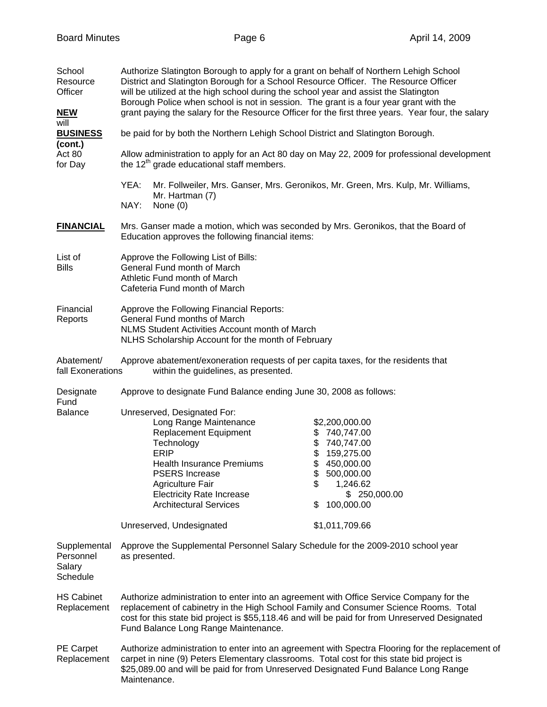| School<br>Resource<br>Officer<br><u>NEW</u>     | Authorize Slatington Borough to apply for a grant on behalf of Northern Lehigh School<br>District and Slatington Borough for a School Resource Officer. The Resource Officer<br>will be utilized at the high school during the school year and assist the Slatington<br>Borough Police when school is not in session. The grant is a four year grant with the<br>grant paying the salary for the Resource Officer for the first three years. Year four, the salary |                                                                                                                                                                      |  |  |
|-------------------------------------------------|--------------------------------------------------------------------------------------------------------------------------------------------------------------------------------------------------------------------------------------------------------------------------------------------------------------------------------------------------------------------------------------------------------------------------------------------------------------------|----------------------------------------------------------------------------------------------------------------------------------------------------------------------|--|--|
| will<br><b>BUSINESS</b>                         | be paid for by both the Northern Lehigh School District and Slatington Borough.                                                                                                                                                                                                                                                                                                                                                                                    |                                                                                                                                                                      |  |  |
| (cont.)<br>Act 80<br>for Day                    | Allow administration to apply for an Act 80 day on May 22, 2009 for professional development<br>the 12 <sup>th</sup> grade educational staff members.                                                                                                                                                                                                                                                                                                              |                                                                                                                                                                      |  |  |
|                                                 | YEA:<br>Mr. Follweiler, Mrs. Ganser, Mrs. Geronikos, Mr. Green, Mrs. Kulp, Mr. Williams,<br>Mr. Hartman (7)<br>NAY:<br>None $(0)$                                                                                                                                                                                                                                                                                                                                  |                                                                                                                                                                      |  |  |
| <b>FINANCIAL</b>                                | Mrs. Ganser made a motion, which was seconded by Mrs. Geronikos, that the Board of<br>Education approves the following financial items:                                                                                                                                                                                                                                                                                                                            |                                                                                                                                                                      |  |  |
| List of<br><b>Bills</b>                         | Approve the Following List of Bills:<br>General Fund month of March<br>Athletic Fund month of March<br>Cafeteria Fund month of March                                                                                                                                                                                                                                                                                                                               |                                                                                                                                                                      |  |  |
| Financial<br>Reports                            | Approve the Following Financial Reports:<br>General Fund months of March<br>NLMS Student Activities Account month of March<br>NLHS Scholarship Account for the month of February                                                                                                                                                                                                                                                                                   |                                                                                                                                                                      |  |  |
| Abatement/<br>fall Exonerations                 | within the guidelines, as presented.                                                                                                                                                                                                                                                                                                                                                                                                                               | Approve abatement/exoneration requests of per capita taxes, for the residents that                                                                                   |  |  |
| Designate<br>Fund<br><b>Balance</b>             | Approve to designate Fund Balance ending June 30, 2008 as follows:                                                                                                                                                                                                                                                                                                                                                                                                 |                                                                                                                                                                      |  |  |
|                                                 | Unreserved, Designated For:<br>Long Range Maintenance<br><b>Replacement Equipment</b><br>Technology<br><b>ERIP</b><br><b>Health Insurance Premiums</b><br><b>PSERS Increase</b><br><b>Agriculture Fair</b><br><b>Electricity Rate Increase</b><br><b>Architectural Services</b>                                                                                                                                                                                    | \$2,200,000.00<br>740,747.00<br>\$<br>\$740,747.00<br>\$<br>159,275.00<br>\$<br>450,000.00<br>\$<br>500,000.00<br>\$<br>1,246.62<br>\$250,000.00<br>100,000.00<br>\$ |  |  |
|                                                 | Unreserved, Undesignated                                                                                                                                                                                                                                                                                                                                                                                                                                           | \$1,011,709.66                                                                                                                                                       |  |  |
| Supplemental<br>Personnel<br>Salary<br>Schedule | Approve the Supplemental Personnel Salary Schedule for the 2009-2010 school year<br>as presented.                                                                                                                                                                                                                                                                                                                                                                  |                                                                                                                                                                      |  |  |
| <b>HS Cabinet</b><br>Replacement                | Authorize administration to enter into an agreement with Office Service Company for the<br>replacement of cabinetry in the High School Family and Consumer Science Rooms. Total<br>cost for this state bid project is \$55,118.46 and will be paid for from Unreserved Designated<br>Fund Balance Long Range Maintenance.                                                                                                                                          |                                                                                                                                                                      |  |  |
| PE Carpet<br>Replacement                        | Authorize administration to enter into an agreement with Spectra Flooring for the replacement of<br>carpet in nine (9) Peters Elementary classrooms. Total cost for this state bid project is<br>\$25,089.00 and will be paid for from Unreserved Designated Fund Balance Long Range<br>Maintenance.                                                                                                                                                               |                                                                                                                                                                      |  |  |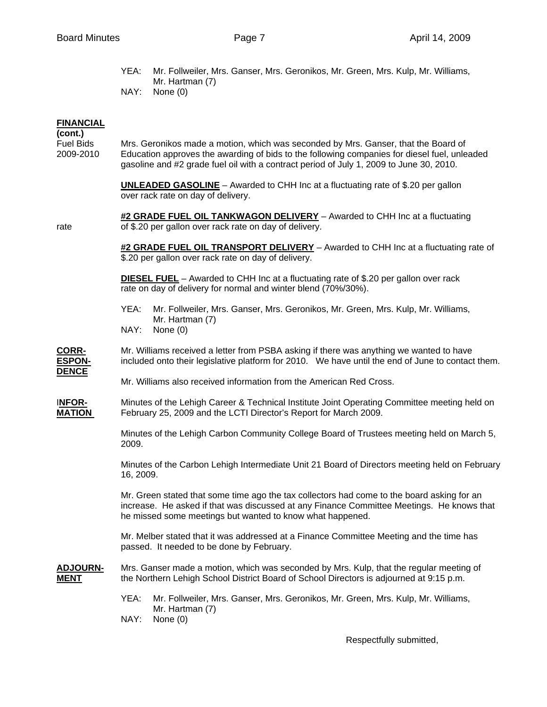YEA: Mr. Follweiler, Mrs. Ganser, Mrs. Geronikos, Mr. Green, Mrs. Kulp, Mr. Williams, Mr. Hartman (7) NAY: None (0)

## **FINANCIAL**

**(cont.)** 

Fuel Bids Mrs. Geronikos made a motion, which was seconded by Mrs. Ganser, that the Board of 2009-2010 Education approves the awarding of bids to the following companies for diesel fuel, unleaded gasoline and #2 grade fuel oil with a contract period of July 1, 2009 to June 30, 2010.

> **UNLEADED GASOLINE** – Awarded to CHH Inc at a fluctuating rate of \$.20 per gallon over rack rate on day of delivery.

 **#2 GRADE FUEL OIL TANKWAGON DELIVERY** – Awarded to CHH Inc at a fluctuating rate of \$.20 per gallon over rack rate on day of delivery.

> **#2 GRADE FUEL OIL TRANSPORT DELIVERY** – Awarded to CHH Inc at a fluctuating rate of \$.20 per gallon over rack rate on day of delivery.

 **DIESEL FUEL** – Awarded to CHH Inc at a fluctuating rate of \$.20 per gallon over rack rate on day of delivery for normal and winter blend (70%/30%).

 YEA: Mr. Follweiler, Mrs. Ganser, Mrs. Geronikos, Mr. Green, Mrs. Kulp, Mr. Williams, Mr. Hartman (7)

NAY: None (0)

**CORR-** Mr. Williams received a letter from PSBA asking if there was anything we wanted to have **ESPON-** included onto their legislative platform for 2010. We have until the end of June to contact them. **DENCE**

Mr. Williams also received information from the American Red Cross.

I**NFOR-** Minutes of the Lehigh Career & Technical Institute Joint Operating Committee meeting held on **MATION** February 25, 2009 and the LCTI Director's Report for March 2009.

> Minutes of the Lehigh Carbon Community College Board of Trustees meeting held on March 5, 2009.

 Minutes of the Carbon Lehigh Intermediate Unit 21 Board of Directors meeting held on February 16, 2009.

 Mr. Green stated that some time ago the tax collectors had come to the board asking for an increase. He asked if that was discussed at any Finance Committee Meetings. He knows that he missed some meetings but wanted to know what happened.

 Mr. Melber stated that it was addressed at a Finance Committee Meeting and the time has passed. It needed to be done by February.

**ADJOURN-** Mrs. Ganser made a motion, which was seconded by Mrs. Kulp, that the regular meeting of **MENT** the Northern Lehigh School District Board of School Directors is adjourned at 9:15 p.m.

- YEA: Mr. Follweiler, Mrs. Ganser, Mrs. Geronikos, Mr. Green, Mrs. Kulp, Mr. Williams, Mr. Hartman (7)
- NAY: None (0)

Respectfully submitted,